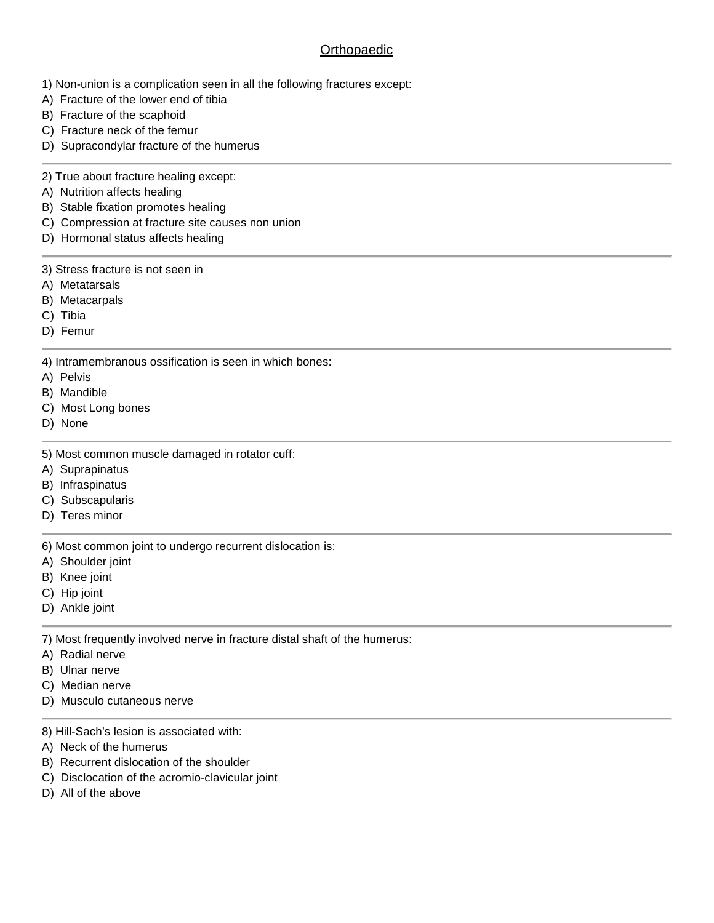# **Orthopaedic**

- 1) Non-union is a complication seen in all the following fractures except:
- A) Fracture of the lower end of tibia
- B) Fracture of the scaphoid
- C) Fracture neck of the femur
- D) Supracondylar fracture of the humerus
- 2) True about fracture healing except:
- A) Nutrition affects healing
- B) Stable fixation promotes healing
- C) Compression at fracture site causes non union
- D) Hormonal status affects healing
- 3) Stress fracture is not seen in
- A) Metatarsals
- B) Metacarpals
- C) Tibia
- D) Femur
- 4) Intramembranous ossification is seen in which bones:
- A) Pelvis
- B) Mandible
- C) Most Long bones
- D) None
- 5) Most common muscle damaged in rotator cuff:
- A) Suprapinatus
- B) Infraspinatus
- C) Subscapularis
- D) Teres minor

6) Most common joint to undergo recurrent dislocation is:

- A) Shoulder joint
- B) Knee joint
- C) Hip joint
- D) Ankle joint

7) Most frequently involved nerve in fracture distal shaft of the humerus:

- A) Radial nerve
- B) Ulnar nerve
- C) Median nerve
- D) Musculo cutaneous nerve
- 8) Hill-Sach's lesion is associated with:
- A) Neck of the humerus
- B) Recurrent dislocation of the shoulder
- C) Disclocation of the acromio-clavicular joint
- D) All of the above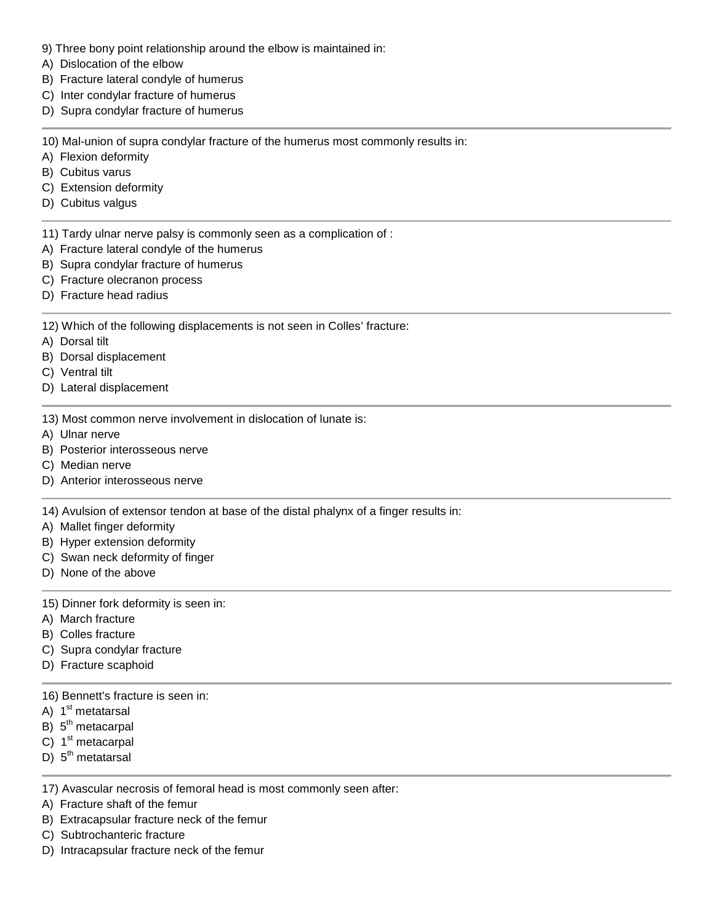- 9) Three bony point relationship around the elbow is maintained in:
- A) Dislocation of the elbow
- B) Fracture lateral condyle of humerus
- C) Inter condylar fracture of humerus
- D) Supra condylar fracture of humerus

10) Mal-union of supra condylar fracture of the humerus most commonly results in:

- A) Flexion deformity
- B) Cubitus varus
- C) Extension deformity
- D) Cubitus valgus
- 11) Tardy ulnar nerve palsy is commonly seen as a complication of :
- A) Fracture lateral condyle of the humerus
- B) Supra condylar fracture of humerus
- C) Fracture olecranon process
- D) Fracture head radius

12) Which of the following displacements is not seen in Colles' fracture:

- A) Dorsal tilt
- B) Dorsal displacement
- C) Ventral tilt
- D) Lateral displacement
- 13) Most common nerve involvement in dislocation of lunate is:
- A) Ulnar nerve
- B) Posterior interosseous nerve
- C) Median nerve
- D) Anterior interosseous nerve

14) Avulsion of extensor tendon at base of the distal phalynx of a finger results in:

- A) Mallet finger deformity
- B) Hyper extension deformity
- C) Swan neck deformity of finger
- D) None of the above
- 15) Dinner fork deformity is seen in:
- A) March fracture
- B) Colles fracture
- C) Supra condylar fracture
- D) Fracture scaphoid
- 16) Bennett's fracture is seen in:
- A) 1<sup>st</sup> metatarsal
- B) 5<sup>th</sup> metacarpal
- C) 1<sup>st</sup> metacarpal
- D) 5<sup>th</sup> metatarsal

17) Avascular necrosis of femoral head is most commonly seen after:

- A) Fracture shaft of the femur
- B) Extracapsular fracture neck of the femur
- C) Subtrochanteric fracture
- D) Intracapsular fracture neck of the femur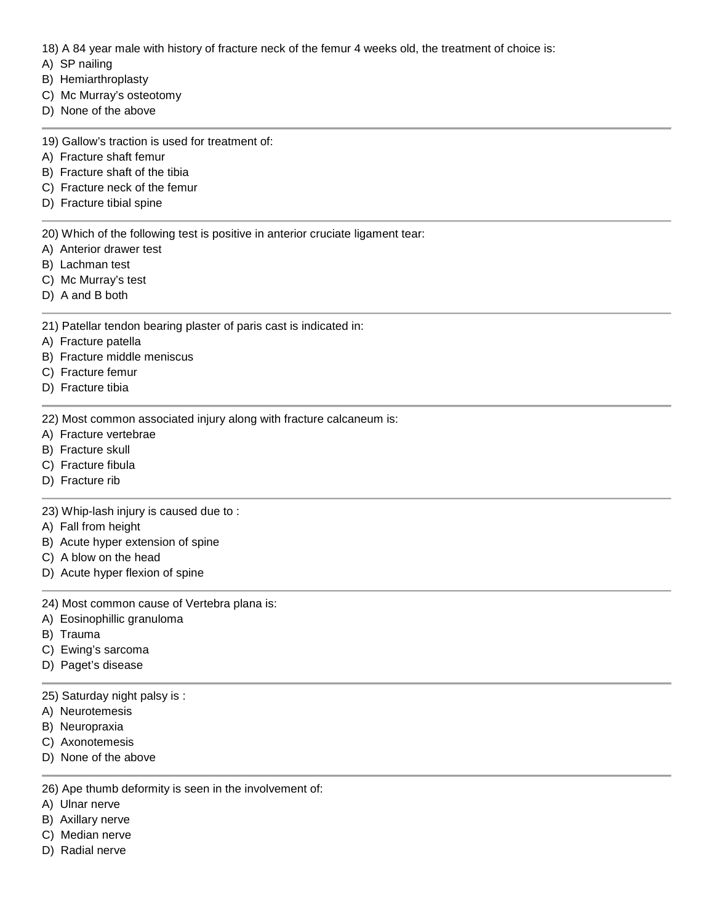18) A 84 year male with history of fracture neck of the femur 4 weeks old, the treatment of choice is:

- A) SP nailing
- B) Hemiarthroplasty
- C) Mc Murray's osteotomy
- D) None of the above
- 19) Gallow's traction is used for treatment of:
- A) Fracture shaft femur
- B) Fracture shaft of the tibia
- C) Fracture neck of the femur
- D) Fracture tibial spine

20) Which of the following test is positive in anterior cruciate ligament tear:

- A) Anterior drawer test
- B) Lachman test
- C) Mc Murray's test
- D) A and B both

21) Patellar tendon bearing plaster of paris cast is indicated in:

- A) Fracture patella
- B) Fracture middle meniscus
- C) Fracture femur
- D) Fracture tibia

22) Most common associated injury along with fracture calcaneum is:

- A) Fracture vertebrae
- B) Fracture skull
- C) Fracture fibula
- D) Fracture rib

23) Whip-lash injury is caused due to :

- A) Fall from height
- B) Acute hyper extension of spine
- C) A blow on the head
- D) Acute hyper flexion of spine
- 24) Most common cause of Vertebra plana is:
- A) Eosinophillic granuloma
- B) Trauma
- C) Ewing's sarcoma
- D) Paget's disease
- 25) Saturday night palsy is :
- A) Neurotemesis
- B) Neuropraxia
- C) Axonotemesis
- D) None of the above
- 26) Ape thumb deformity is seen in the involvement of:
- A) Ulnar nerve
- B) Axillary nerve
- C) Median nerve
- D) Radial nerve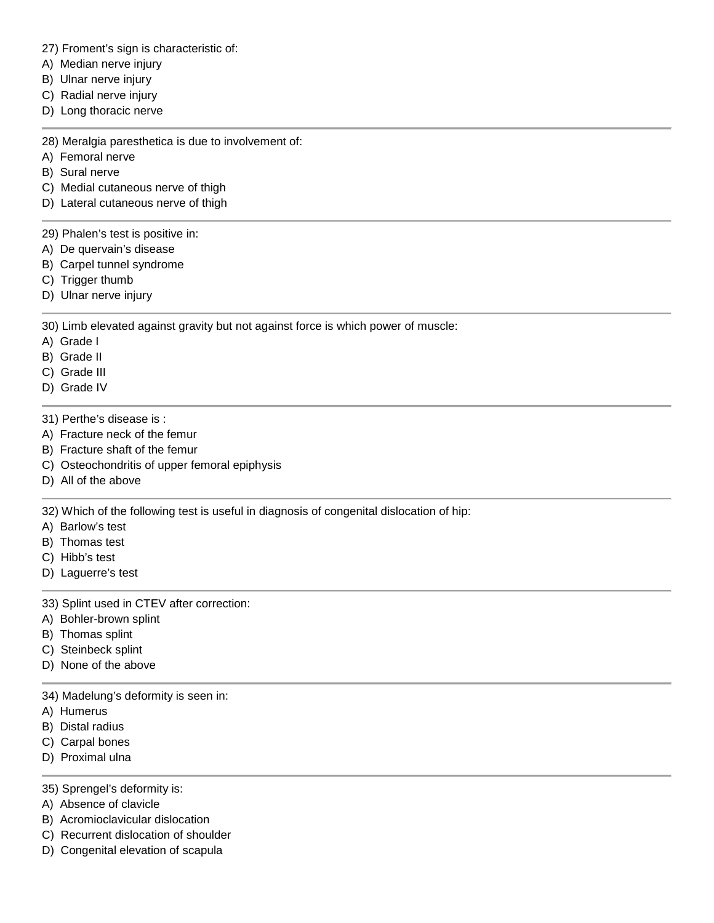27) Froment's sign is characteristic of:

- A) Median nerve injury
- B) Ulnar nerve injury
- C) Radial nerve injury
- D) Long thoracic nerve

28) Meralgia paresthetica is due to involvement of:

- A) Femoral nerve
- B) Sural nerve

C) Medial cutaneous nerve of thigh

D) Lateral cutaneous nerve of thigh

29) Phalen's test is positive in:

- A) De quervain's disease
- B) Carpel tunnel syndrome
- C) Trigger thumb
- D) Ulnar nerve injury

30) Limb elevated against gravity but not against force is which power of muscle:

- A) Grade I
- B) Grade II
- C) Grade III
- D) Grade IV
- 31) Perthe's disease is :
- A) Fracture neck of the femur
- B) Fracture shaft of the femur
- C) Osteochondritis of upper femoral epiphysis
- D) All of the above

32) Which of the following test is useful in diagnosis of congenital dislocation of hip:

- A) Barlow's test
- B) Thomas test
- C) Hibb's test
- D) Laguerre's test

33) Splint used in CTEV after correction:

- A) Bohler-brown splint
- B) Thomas splint
- C) Steinbeck splint
- D) None of the above

34) Madelung's deformity is seen in:

- A) Humerus
- B) Distal radius
- C) Carpal bones
- D) Proximal ulna
- 35) Sprengel's deformity is:
- A) Absence of clavicle
- B) Acromioclavicular dislocation
- C) Recurrent dislocation of shoulder
- D) Congenital elevation of scapula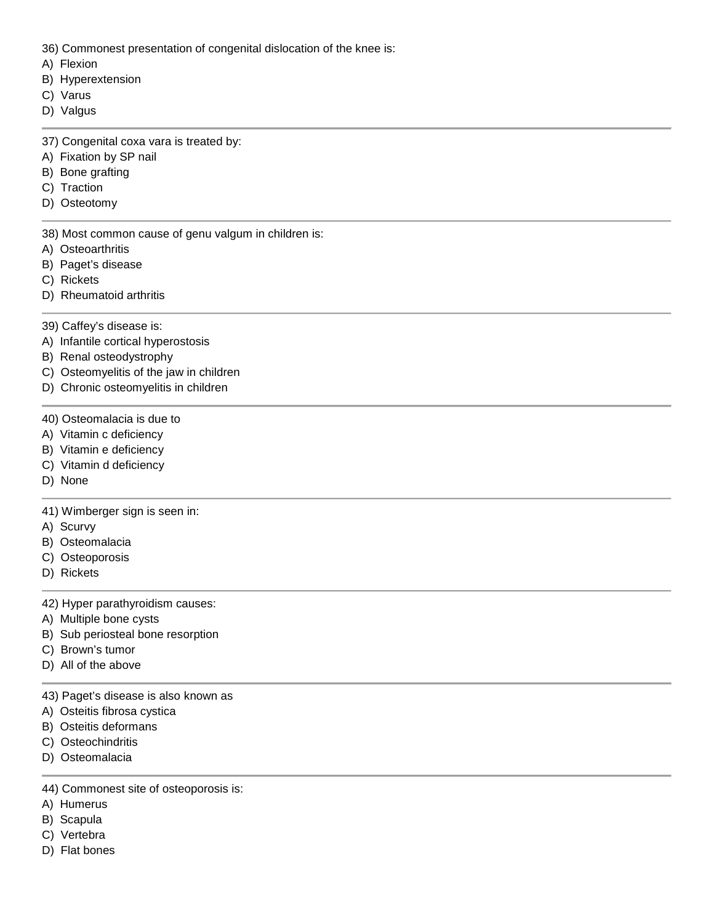- 36) Commonest presentation of congenital dislocation of the knee is:
- A) Flexion
- B) Hyperextension
- C) Varus
- D) Valgus
- 37) Congenital coxa vara is treated by:
- A) Fixation by SP nail
- B) Bone grafting
- C) Traction
- D) Osteotomy
- 38) Most common cause of genu valgum in children is:
- A) Osteoarthritis
- B) Paget's disease
- C) Rickets
- D) Rheumatoid arthritis
- 39) Caffey's disease is:
- A) Infantile cortical hyperostosis
- B) Renal osteodystrophy
- C) Osteomyelitis of the jaw in children
- D) Chronic osteomyelitis in children
- 40) Osteomalacia is due to
- A) Vitamin c deficiency
- B) Vitamin e deficiency
- C) Vitamin d deficiency
- D) None

#### 41) Wimberger sign is seen in:

- A) Scurvy
- B) Osteomalacia
- C) Osteoporosis
- D) Rickets

#### 42) Hyper parathyroidism causes:

- A) Multiple bone cysts
- B) Sub periosteal bone resorption
- C) Brown's tumor
- D) All of the above
- 43) Paget's disease is also known as
- A) Osteitis fibrosa cystica
- B) Osteitis deformans
- C) Osteochindritis
- D) Osteomalacia
- 44) Commonest site of osteoporosis is:
- A) Humerus
- B) Scapula
- C) Vertebra
- D) Flat bones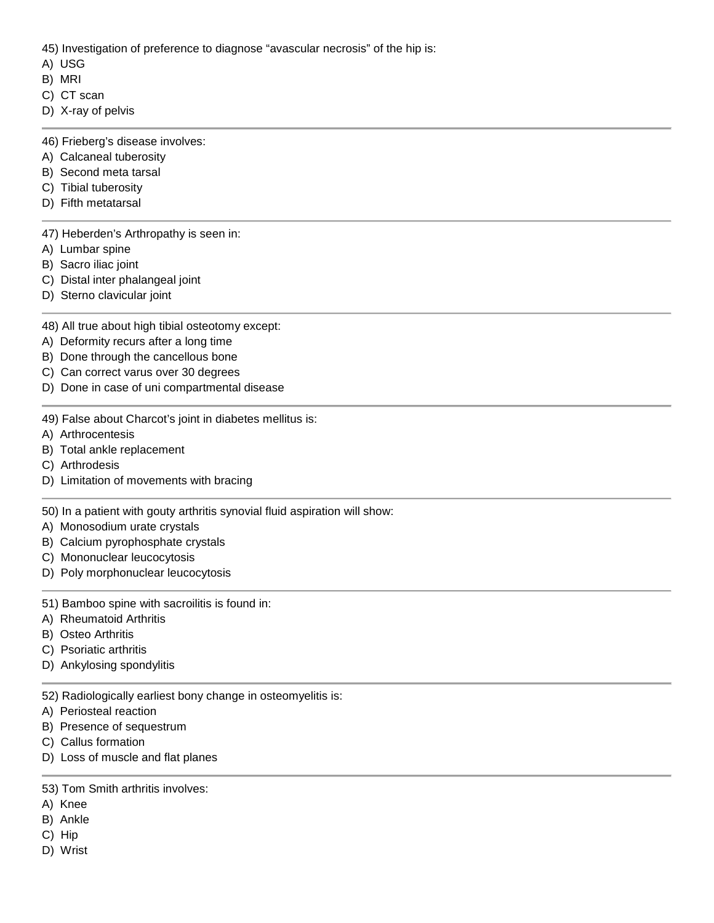45) Investigation of preference to diagnose "avascular necrosis" of the hip is:

- A) USG
- B) MRI
- C) CT scan
- D) X-ray of pelvis
- 46) Frieberg's disease involves:
- A) Calcaneal tuberosity
- B) Second meta tarsal
- C) Tibial tuberosity
- D) Fifth metatarsal

47) Heberden's Arthropathy is seen in:

- A) Lumbar spine
- B) Sacro iliac joint
- C) Distal inter phalangeal joint
- D) Sterno clavicular joint

48) All true about high tibial osteotomy except:

- A) Deformity recurs after a long time
- B) Done through the cancellous bone
- C) Can correct varus over 30 degrees
- D) Done in case of uni compartmental disease
- 49) False about Charcot's joint in diabetes mellitus is:
- A) Arthrocentesis
- B) Total ankle replacement
- C) Arthrodesis
- D) Limitation of movements with bracing

50) In a patient with gouty arthritis synovial fluid aspiration will show:

- A) Monosodium urate crystals
- B) Calcium pyrophosphate crystals
- C) Mononuclear leucocytosis
- D) Poly morphonuclear leucocytosis
- 51) Bamboo spine with sacroilitis is found in:
- A) Rheumatoid Arthritis
- B) Osteo Arthritis
- C) Psoriatic arthritis
- D) Ankylosing spondylitis
- 52) Radiologically earliest bony change in osteomyelitis is:
- A) Periosteal reaction
- B) Presence of sequestrum
- C) Callus formation
- D) Loss of muscle and flat planes

## 53) Tom Smith arthritis involves:

- A) Knee
- B) Ankle
- C) Hip
- D) Wrist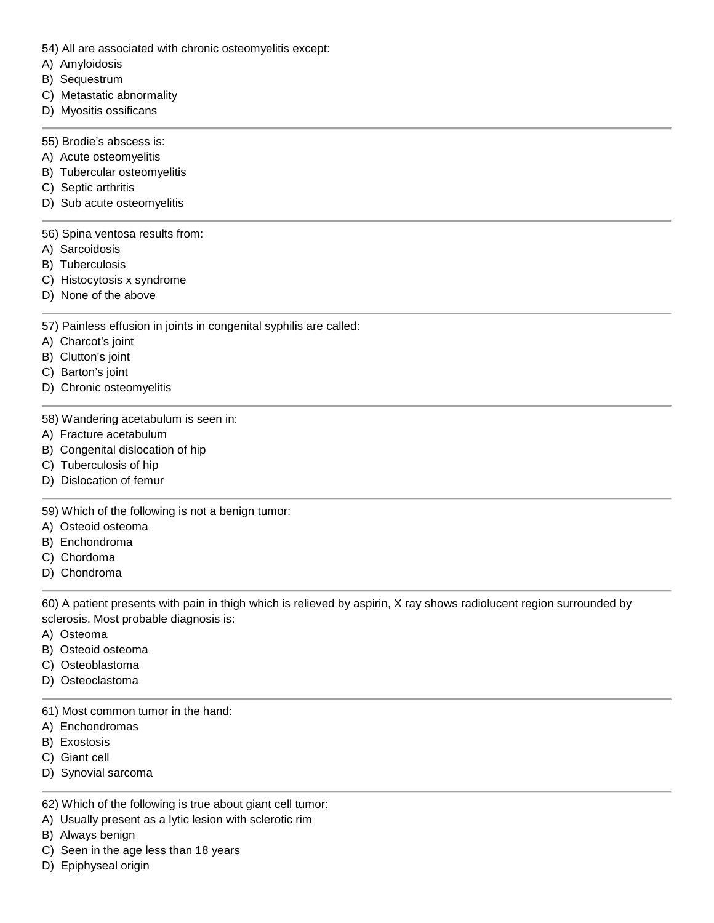- 54) All are associated with chronic osteomyelitis except:
- A) Amyloidosis
- B) Sequestrum
- C) Metastatic abnormality
- D) Myositis ossificans
- 55) Brodie's abscess is:
- A) Acute osteomyelitis
- B) Tubercular osteomyelitis
- C) Septic arthritis
- D) Sub acute osteomyelitis

## 56) Spina ventosa results from:

- A) Sarcoidosis
- B) Tuberculosis
- C) Histocytosis x syndrome
- D) None of the above

## 57) Painless effusion in joints in congenital syphilis are called:

- A) Charcot's joint
- B) Clutton's joint
- C) Barton's joint
- D) Chronic osteomyelitis
- 58) Wandering acetabulum is seen in:
- A) Fracture acetabulum
- B) Congenital dislocation of hip
- C) Tuberculosis of hip
- D) Dislocation of femur

59) Which of the following is not a benign tumor:

- A) Osteoid osteoma
- B) Enchondroma
- C) Chordoma
- D) Chondroma

60) A patient presents with pain in thigh which is relieved by aspirin, X ray shows radiolucent region surrounded by sclerosis. Most probable diagnosis is:

- A) Osteoma
- B) Osteoid osteoma
- C) Osteoblastoma
- D) Osteoclastoma
- 61) Most common tumor in the hand:
- A) Enchondromas
- B) Exostosis
- C) Giant cell
- D) Synovial sarcoma
- 62) Which of the following is true about giant cell tumor:
- A) Usually present as a lytic lesion with sclerotic rim
- B) Always benign
- C) Seen in the age less than 18 years
- D) Epiphyseal origin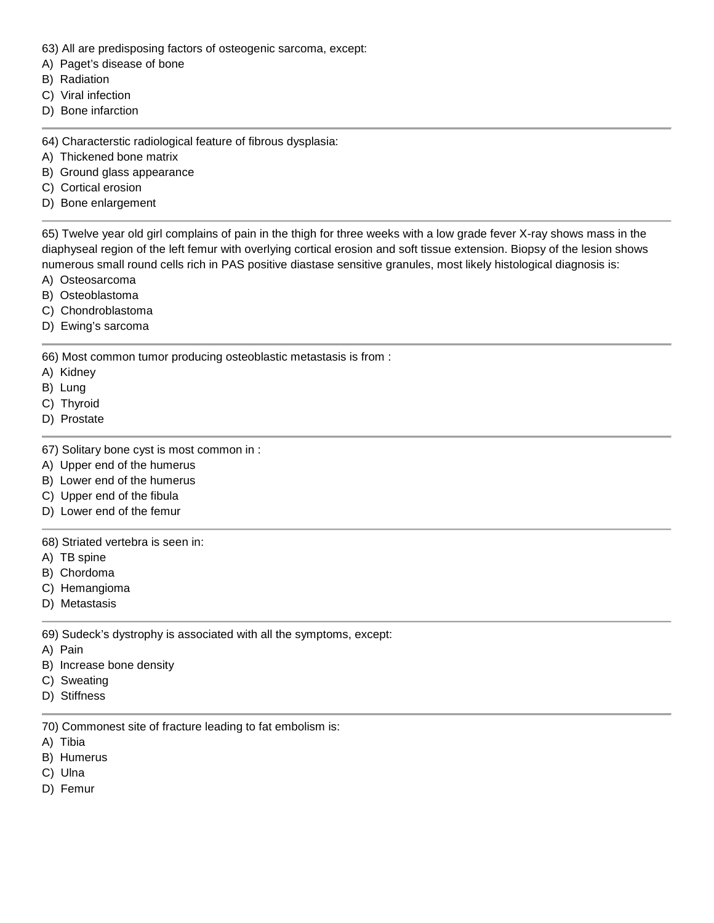- 63) All are predisposing factors of osteogenic sarcoma, except:
- A) Paget's disease of bone
- B) Radiation
- C) Viral infection
- D) Bone infarction

64) Characterstic radiological feature of fibrous dysplasia:

- A) Thickened bone matrix
- B) Ground glass appearance
- C) Cortical erosion
- D) Bone enlargement

65) Twelve year old girl complains of pain in the thigh for three weeks with a low grade fever X-ray shows mass in the diaphyseal region of the left femur with overlying cortical erosion and soft tissue extension. Biopsy of the lesion shows numerous small round cells rich in PAS positive diastase sensitive granules, most likely histological diagnosis is:

- A) Osteosarcoma
- B) Osteoblastoma
- C) Chondroblastoma
- D) Ewing's sarcoma

66) Most common tumor producing osteoblastic metastasis is from :

- A) Kidney
- B) Lung
- C) Thyroid
- D) Prostate
- 67) Solitary bone cyst is most common in :
- A) Upper end of the humerus
- B) Lower end of the humerus
- C) Upper end of the fibula
- D) Lower end of the femur

68) Striated vertebra is seen in:

- A) TB spine
- B) Chordoma
- C) Hemangioma
- D) Metastasis

69) Sudeck's dystrophy is associated with all the symptoms, except:

A) Pain

- B) Increase bone density
- C) Sweating
- D) Stiffness

70) Commonest site of fracture leading to fat embolism is:

- A) Tibia
- B) Humerus
- C) Ulna
- D) Femur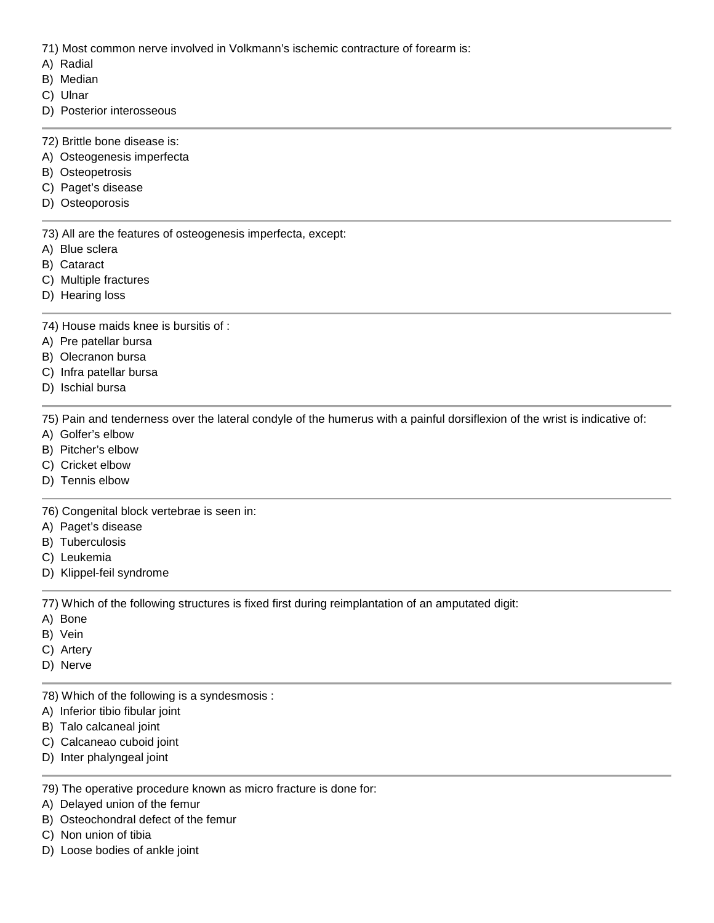71) Most common nerve involved in Volkmann's ischemic contracture of forearm is:

- A) Radial
- B) Median
- C) Ulnar
- D) Posterior interosseous
- 72) Brittle bone disease is:
- A) Osteogenesis imperfecta
- B) Osteopetrosis
- C) Paget's disease
- D) Osteoporosis

73) All are the features of osteogenesis imperfecta, except:

- A) Blue sclera
- B) Cataract
- C) Multiple fractures
- D) Hearing loss

74) House maids knee is bursitis of :

- A) Pre patellar bursa
- B) Olecranon bursa
- C) Infra patellar bursa
- D) Ischial bursa

75) Pain and tenderness over the lateral condyle of the humerus with a painful dorsiflexion of the wrist is indicative of:

- A) Golfer's elbow
- B) Pitcher's elbow
- C) Cricket elbow
- D) Tennis elbow

76) Congenital block vertebrae is seen in:

- A) Paget's disease
- B) Tuberculosis
- C) Leukemia
- D) Klippel-feil syndrome

77) Which of the following structures is fixed first during reimplantation of an amputated digit:

- A) Bone
- B) Vein
- C) Artery
- D) Nerve
- 78) Which of the following is a syndesmosis :
- A) Inferior tibio fibular joint
- B) Talo calcaneal joint
- C) Calcaneao cuboid joint
- D) Inter phalyngeal joint

79) The operative procedure known as micro fracture is done for:

- A) Delayed union of the femur
- B) Osteochondral defect of the femur
- C) Non union of tibia
- D) Loose bodies of ankle joint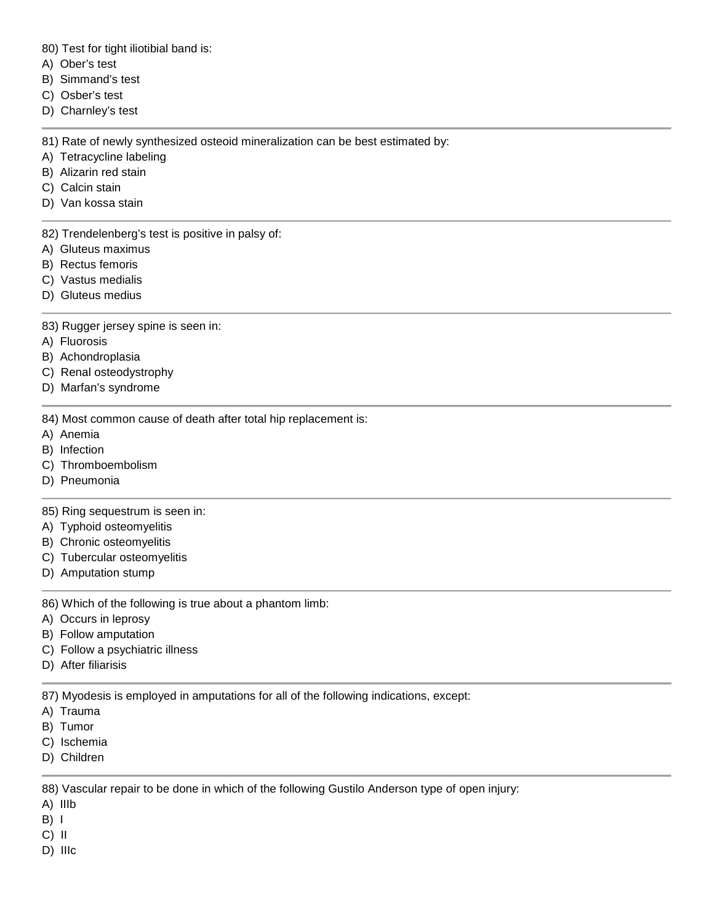80) Test for tight iliotibial band is:

- A) Ober's test
- B) Simmand's test
- C) Osber's test
- D) Charnley's test

81) Rate of newly synthesized osteoid mineralization can be best estimated by:

- A) Tetracycline labeling
- B) Alizarin red stain
- C) Calcin stain
- D) Van kossa stain

82) Trendelenberg's test is positive in palsy of:

- A) Gluteus maximus
- B) Rectus femoris
- C) Vastus medialis
- D) Gluteus medius
- 83) Rugger jersey spine is seen in:
- A) Fluorosis
- B) Achondroplasia
- C) Renal osteodystrophy
- D) Marfan's syndrome
- 84) Most common cause of death after total hip replacement is:
- A) Anemia
- B) Infection
- C) Thromboembolism
- D) Pneumonia

85) Ring sequestrum is seen in:

- A) Typhoid osteomyelitis
- B) Chronic osteomyelitis
- C) Tubercular osteomyelitis
- D) Amputation stump

86) Which of the following is true about a phantom limb:

- A) Occurs in leprosy
- B) Follow amputation
- C) Follow a psychiatric illness
- D) After filiarisis

87) Myodesis is employed in amputations for all of the following indications, except:

- A) Trauma
- B) Tumor
- C) Ischemia
- D) Children

88) Vascular repair to be done in which of the following Gustilo Anderson type of open injury:

- A) IIIb
- $B)$  |
- C) II
- D) IIIc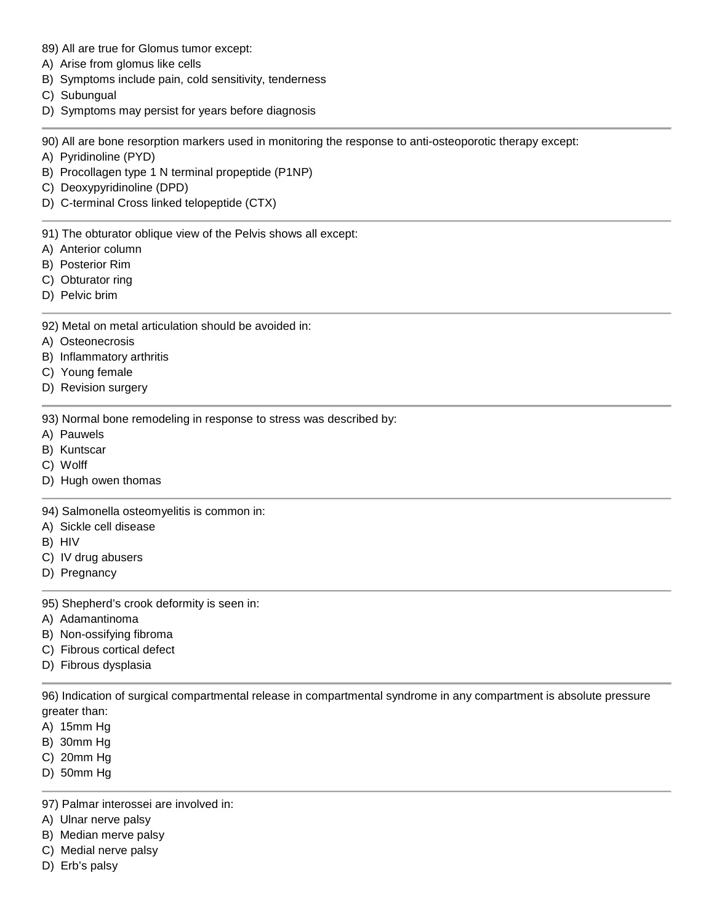- 89) All are true for Glomus tumor except:
- A) Arise from glomus like cells
- B) Symptoms include pain, cold sensitivity, tenderness
- C) Subungual
- D) Symptoms may persist for years before diagnosis

90) All are bone resorption markers used in monitoring the response to anti-osteoporotic therapy except:

- A) Pyridinoline (PYD)
- B) Procollagen type 1 N terminal propeptide (P1NP)
- C) Deoxypyridinoline (DPD)
- D) C-terminal Cross linked telopeptide (CTX)

91) The obturator oblique view of the Pelvis shows all except:

- A) Anterior column
- B) Posterior Rim
- C) Obturator ring
- D) Pelvic brim

92) Metal on metal articulation should be avoided in:

- A) Osteonecrosis
- B) Inflammatory arthritis
- C) Young female
- D) Revision surgery

93) Normal bone remodeling in response to stress was described by:

- A) Pauwels
- B) Kuntscar
- C) Wolff
- D) Hugh owen thomas

94) Salmonella osteomyelitis is common in:

- A) Sickle cell disease
- B) HIV
- C) IV drug abusers
- D) Pregnancy

95) Shepherd's crook deformity is seen in:

- A) Adamantinoma
- B) Non-ossifying fibroma
- C) Fibrous cortical defect
- D) Fibrous dysplasia

96) Indication of surgical compartmental release in compartmental syndrome in any compartment is absolute pressure greater than:

- A) 15mm Hg
- B) 30mm Hg
- C) 20mm Hg
- D) 50mm Hg

97) Palmar interossei are involved in:

- A) Ulnar nerve palsy
- B) Median merve palsy
- C) Medial nerve palsy
- D) Erb's palsy